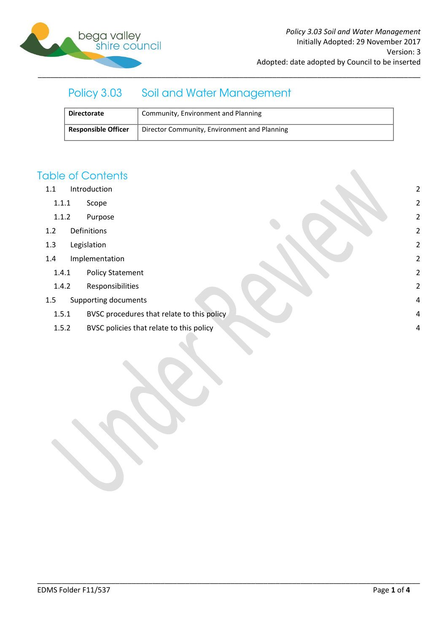

# Policy 3.03 Soil and Water Management

| <b>Directorate</b>         | Community, Environment and Planning          |
|----------------------------|----------------------------------------------|
| <b>Responsible Officer</b> | Director Community, Environment and Planning |

\_\_\_\_\_\_\_\_\_\_\_\_\_\_\_\_\_\_\_\_\_\_\_\_\_\_\_\_\_\_\_\_\_\_\_\_\_\_\_\_\_\_\_\_\_\_\_\_\_\_\_\_\_\_\_\_\_\_\_\_\_\_\_\_\_\_\_\_\_\_\_\_\_\_\_\_\_\_\_\_\_\_\_\_\_\_\_\_\_\_\_\_\_

# **Table of Contents**

- 1.1 [Introduction](#page-1-0) 2
	- 1.1.1 [Scope](#page-1-1) 2
	- 1.1.2 [Purpose](#page-1-2) 2
- 1.2 [Definitions](#page-1-3) 2
- 1.3 [Legislation](#page-1-4) 2
- 1.4 [Implementation](#page-1-5) 2
	- 1.4.1 [Policy Statement](#page-1-6) 2
	- 1.4.2 [Responsibilities](#page-1-7) 2
- 1.5 [Supporting documents](#page-3-0) 4
	- 1.5.1 [BVSC procedures that relate to this policy](#page-3-1) **1.5.1 BVSC procedures that relate to this policy 1.5.1 All and 2.4**
	- 1.5.2 [BVSC policies that relate to this policy](#page-3-2) and the set of the set of the set of the set of the set of the set of the set of the set of the set of the set of the set of the set of the set of the set of the set of the se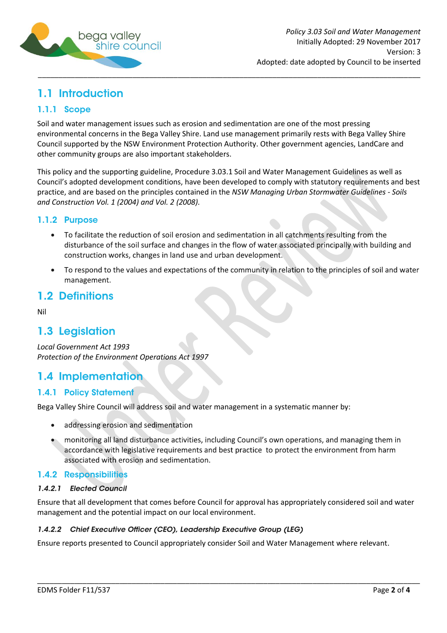

# <span id="page-1-0"></span>1.1 Introduction

## <span id="page-1-1"></span>1.1.1 Scope

Soil and water management issues such as erosion and sedimentation are one of the most pressing environmental concerns in the Bega Valley Shire. Land use management primarily rests with Bega Valley Shire Council supported by the NSW Environment Protection Authority. Other government agencies, LandCare and other community groups are also important stakeholders.

This policy and the supporting guideline, Procedure 3.03.1 Soil and Water Management Guidelines as well as Council's adopted development conditions, have been developed to comply with statutory requirements and best practice, and are based on the principles contained in the *NSW Managing Urban Stormwater Guidelines - Soils and Construction Vol. 1 (2004) and Vol. 2 (2008).*

#### <span id="page-1-2"></span>1.1.2 Purpose

- To facilitate the reduction of soil erosion and sedimentation in all catchments resulting from the  $\bullet$ disturbance of the soil surface and changes in the flow of water associated principally with building and construction works, changes in land use and urban development.
- To respond to the values and expectations of the community in relation to the principles of soil and water management.

## <span id="page-1-3"></span>**1.2 Definitions**

Nil

## <span id="page-1-4"></span>1.3 Legislation

*Local Government Act 1993 Protection of the Environment Operations Act 1997*

# <span id="page-1-5"></span>1.4 Implementation

### <span id="page-1-6"></span>**1.4.1 Policy Statement**

Bega Valley Shire Council will address soil and water management in a systematic manner by:

- addressing erosion and sedimentation  $\bullet$
- monitoring all land disturbance activities, including Council's own operations, and managing them in accordance with legislative requirements and best practice to protect the environment from harm associated with erosion and sedimentation.

### <span id="page-1-7"></span>1.4.2 Responsibilities

#### 1.4.2.1 Elected Council

Ensure that all development that comes before Council for approval has appropriately considered soil and water management and the potential impact on our local environment.

\_\_\_\_\_\_\_\_\_\_\_\_\_\_\_\_\_\_\_\_\_\_\_\_\_\_\_\_\_\_\_\_\_\_\_\_\_\_\_\_\_\_\_\_\_\_\_\_\_\_\_\_\_\_\_\_\_\_\_\_\_\_\_\_\_\_\_\_\_\_\_\_\_\_\_\_\_\_\_\_\_\_\_\_\_\_\_\_\_\_\_\_\_

#### 1.4.2.2 Chief Executive Officer (CEO), Leadership Executive Group (LEG)

Ensure reports presented to Council appropriately consider Soil and Water Management where relevant.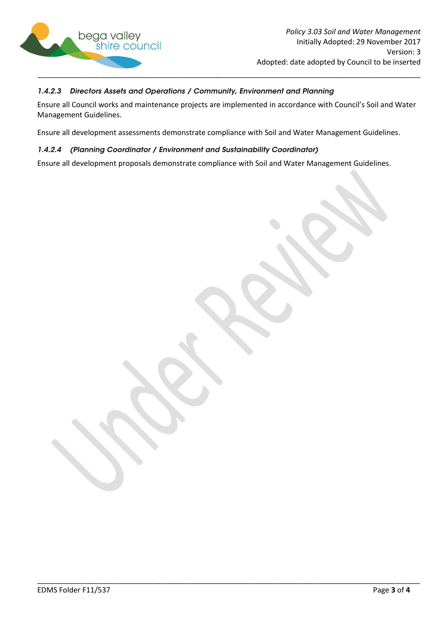

#### 1.4.2.3 Directors Assets and Operations / Community, Environment and Planning

Ensure all Council works and maintenance projects are implemented in accordance with Council's Soil and Water Management Guidelines.

Ensure all development assessments demonstrate compliance with Soil and Water Management Guidelines.

#### 1.4.2.4 (Planning Coordinator / Environment and Sustainability Coordinator)

Ensure all development proposals demonstrate compliance with Soil and Water Management Guidelines.

\_\_\_\_\_\_\_\_\_\_\_\_\_\_\_\_\_\_\_\_\_\_\_\_\_\_\_\_\_\_\_\_\_\_\_\_\_\_\_\_\_\_\_\_\_\_\_\_\_\_\_\_\_\_\_\_\_\_\_\_\_\_\_\_\_\_\_\_\_\_\_\_\_\_\_\_\_\_\_\_\_\_\_\_\_\_\_\_\_\_\_\_\_